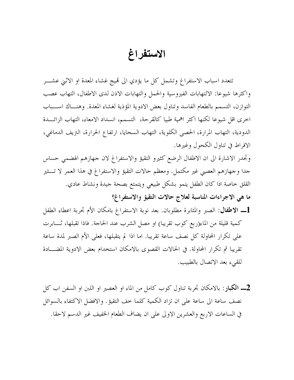## الاستفراغ

تتعدد اسباب الاستفراغ وتشمل كل ما يؤدي الى قميج غشاء المعدة او الاثني عشـــر واكثرها شيوعا: الالتهابات الفيروسية والحمل والتهابات الاذن لدى الاطفال، التهاب عصب التوازن، التسمم بالطعام الفاسد وتناول بعض الادوية المؤذية لغشاء المعدة. وهنــاك اســـباب اخرى اقل شيوعا لكنها اكثر اهمية طبيا كالقرحة، التسمم، انسداد الامعاء، التهاب الزائـــدة الدودية، التهاب المرارة، الحصبي الكلوية، التهاب السحايا، ارتفاع الحرارة، التريف الدماغي، الإفراط في تناول الكحول وغيرها.

وتجدر الاشارة الى ان الاطفال الرضع كثيرو التقيؤ والاستفراغ لان جهازهم الهضمي حساس جدا وجهازهم العصبي غير مكتمل. ومعظم حالات التقيؤ والاستفراغ في هذا العمر لا تـــثير القلق خاصة اذا كان الطفل ينمو بشكل طبيعي ويتمتع بصحة جيدة ونشاط عادي.

- ما هي الاجراءات المناسبة لعلاج حالات التقيؤ والاستفراغ؟
- كمية قليلة من الماء(ربع كوب تقريباً) او مصل الشرب عند الحاجة. فاذا تقبلها، ثـــابرت على تكرار المحاولة كل نصف ساعة تقريبا. اما اذا لم يتقبلها، فعلى الأم الصبر لمدة ساعة تقريبا ثم تكرار المحاولة. في الحالات القصوى بالامكان استخدام بعض الادوية المضـــادة للقىء بعد الاتصال بالطبيب.
- نصف ساعة الى ساعة على ان تزاد الكمية كلما خف التقيؤ. والافضل الاكتفاء بالسوائل في الساعات الاربع والعشرين الاولى على ان يضاف الطعام الخفيف غير الدسم لاحقا.